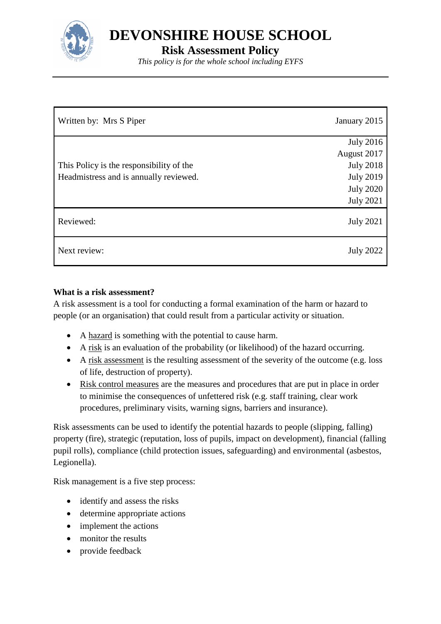

**DEVONSHIRE HOUSE SCHOOL**

**Risk Assessment Policy**

*This policy is for the whole school including EYFS*

| Written by: Mrs S Piper                  | January 2015     |
|------------------------------------------|------------------|
|                                          | <b>July 2016</b> |
|                                          | August 2017      |
| This Policy is the responsibility of the | <b>July 2018</b> |
| Headmistress and is annually reviewed.   | <b>July 2019</b> |
|                                          | <b>July 2020</b> |
|                                          | <b>July 2021</b> |
| Reviewed:                                | <b>July 2021</b> |
| Next review:                             | <b>July 2022</b> |

# **What is a risk assessment?**

A risk assessment is a tool for conducting a formal examination of the harm or hazard to people (or an organisation) that could result from a particular activity or situation.

- A hazard is something with the potential to cause harm.
- A risk is an evaluation of the probability (or likelihood) of the hazard occurring.
- A risk assessment is the resulting assessment of the severity of the outcome (e.g. loss of life, destruction of property).
- Risk control measures are the measures and procedures that are put in place in order to minimise the consequences of unfettered risk (e.g. staff training, clear work procedures, preliminary visits, warning signs, barriers and insurance).

Risk assessments can be used to identify the potential hazards to people (slipping, falling) property (fire), strategic (reputation, loss of pupils, impact on development), financial (falling pupil rolls), compliance (child protection issues, safeguarding) and environmental (asbestos, Legionella).

Risk management is a five step process:

- identify and assess the risks
- determine appropriate actions
- implement the actions
- monitor the results
- provide feedback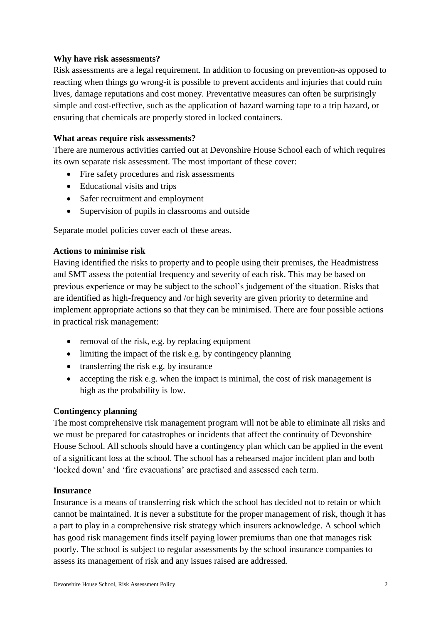### **Why have risk assessments?**

Risk assessments are a legal requirement. In addition to focusing on prevention-as opposed to reacting when things go wrong-it is possible to prevent accidents and injuries that could ruin lives, damage reputations and cost money. Preventative measures can often be surprisingly simple and cost-effective, such as the application of hazard warning tape to a trip hazard, or ensuring that chemicals are properly stored in locked containers.

### **What areas require risk assessments?**

There are numerous activities carried out at Devonshire House School each of which requires its own separate risk assessment. The most important of these cover:

- Fire safety procedures and risk assessments
- Educational visits and trips
- Safer recruitment and employment
- Supervision of pupils in classrooms and outside

Separate model policies cover each of these areas.

### **Actions to minimise risk**

Having identified the risks to property and to people using their premises, the Headmistress and SMT assess the potential frequency and severity of each risk. This may be based on previous experience or may be subject to the school's judgement of the situation. Risks that are identified as high-frequency and /or high severity are given priority to determine and implement appropriate actions so that they can be minimised. There are four possible actions in practical risk management:

- removal of the risk, e.g. by replacing equipment
- limiting the impact of the risk e.g. by contingency planning
- transferring the risk e.g. by insurance
- accepting the risk e.g. when the impact is minimal, the cost of risk management is high as the probability is low.

### **Contingency planning**

The most comprehensive risk management program will not be able to eliminate all risks and we must be prepared for catastrophes or incidents that affect the continuity of Devonshire House School. All schools should have a contingency plan which can be applied in the event of a significant loss at the school. The school has a rehearsed major incident plan and both 'locked down' and 'fire evacuations' are practised and assessed each term.

### **Insurance**

Insurance is a means of transferring risk which the school has decided not to retain or which cannot be maintained. It is never a substitute for the proper management of risk, though it has a part to play in a comprehensive risk strategy which insurers acknowledge. A school which has good risk management finds itself paying lower premiums than one that manages risk poorly. The school is subject to regular assessments by the school insurance companies to assess its management of risk and any issues raised are addressed.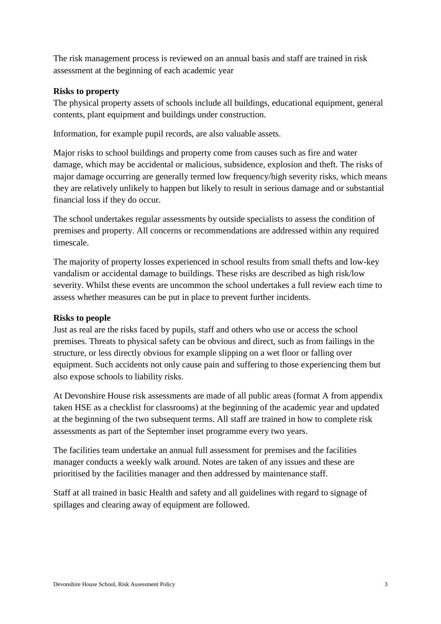The risk management process is reviewed on an annual basis and staff are trained in risk assessment at the beginning of each academic year

### **Risks to property**

The physical property assets of schools include all buildings, educational equipment, general contents, plant equipment and buildings under construction.

Information, for example pupil records, are also valuable assets.

Major risks to school buildings and property come from causes such as fire and water damage, which may be accidental or malicious, subsidence, explosion and theft. The risks of major damage occurring are generally termed low frequency/high severity risks, which means they are relatively unlikely to happen but likely to result in serious damage and or substantial financial loss if they do occur.

The school undertakes regular assessments by outside specialists to assess the condition of premises and property. All concerns or recommendations are addressed within any required timescale.

The majority of property losses experienced in school results from small thefts and low-key vandalism or accidental damage to buildings. These risks are described as high risk/low severity. Whilst these events are uncommon the school undertakes a full review each time to assess whether measures can be put in place to prevent further incidents.

# **Risks to people**

Just as real are the risks faced by pupils, staff and others who use or access the school premises. Threats to physical safety can be obvious and direct, such as from failings in the structure, or less directly obvious for example slipping on a wet floor or falling over equipment. Such accidents not only cause pain and suffering to those experiencing them but also expose schools to liability risks.

At Devonshire House risk assessments are made of all public areas (format A from appendix taken HSE as a checklist for classrooms) at the beginning of the academic year and updated at the beginning of the two subsequent terms. All staff are trained in how to complete risk assessments as part of the September inset programme every two years.

The facilities team undertake an annual full assessment for premises and the facilities manager conducts a weekly walk around. Notes are taken of any issues and these are prioritised by the facilities manager and then addressed by maintenance staff.

Staff at all trained in basic Health and safety and all guidelines with regard to signage of spillages and clearing away of equipment are followed.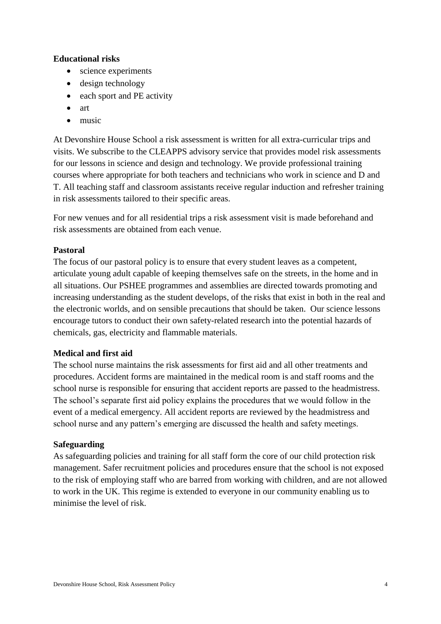### **Educational risks**

- science experiments
- design technology
- each sport and PE activity
- $\bullet$  art
- $\bullet$  music

At Devonshire House School a risk assessment is written for all extra-curricular trips and visits. We subscribe to the CLEAPPS advisory service that provides model risk assessments for our lessons in science and design and technology. We provide professional training courses where appropriate for both teachers and technicians who work in science and D and T. All teaching staff and classroom assistants receive regular induction and refresher training in risk assessments tailored to their specific areas.

For new venues and for all residential trips a risk assessment visit is made beforehand and risk assessments are obtained from each venue.

### **Pastoral**

The focus of our pastoral policy is to ensure that every student leaves as a competent, articulate young adult capable of keeping themselves safe on the streets, in the home and in all situations. Our PSHEE programmes and assemblies are directed towards promoting and increasing understanding as the student develops, of the risks that exist in both in the real and the electronic worlds, and on sensible precautions that should be taken. Our science lessons encourage tutors to conduct their own safety-related research into the potential hazards of chemicals, gas, electricity and flammable materials.

### **Medical and first aid**

The school nurse maintains the risk assessments for first aid and all other treatments and procedures. Accident forms are maintained in the medical room is and staff rooms and the school nurse is responsible for ensuring that accident reports are passed to the headmistress. The school's separate first aid policy explains the procedures that we would follow in the event of a medical emergency. All accident reports are reviewed by the headmistress and school nurse and any pattern's emerging are discussed the health and safety meetings.

### **Safeguarding**

As safeguarding policies and training for all staff form the core of our child protection risk management. Safer recruitment policies and procedures ensure that the school is not exposed to the risk of employing staff who are barred from working with children, and are not allowed to work in the UK. This regime is extended to everyone in our community enabling us to minimise the level of risk.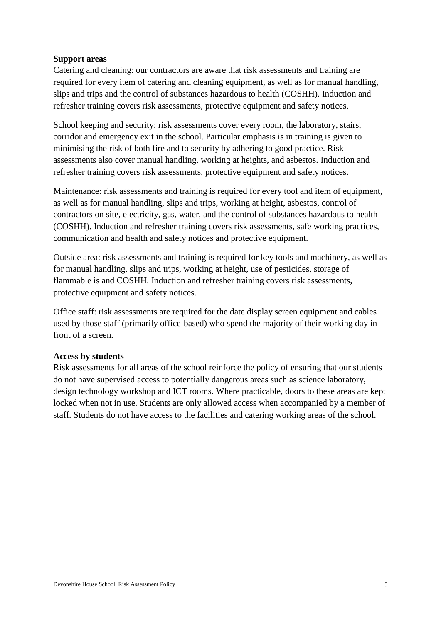### **Support areas**

Catering and cleaning: our contractors are aware that risk assessments and training are required for every item of catering and cleaning equipment, as well as for manual handling, slips and trips and the control of substances hazardous to health (COSHH). Induction and refresher training covers risk assessments, protective equipment and safety notices.

School keeping and security: risk assessments cover every room, the laboratory, stairs, corridor and emergency exit in the school. Particular emphasis is in training is given to minimising the risk of both fire and to security by adhering to good practice. Risk assessments also cover manual handling, working at heights, and asbestos. Induction and refresher training covers risk assessments, protective equipment and safety notices.

Maintenance: risk assessments and training is required for every tool and item of equipment, as well as for manual handling, slips and trips, working at height, asbestos, control of contractors on site, electricity, gas, water, and the control of substances hazardous to health (COSHH). Induction and refresher training covers risk assessments, safe working practices, communication and health and safety notices and protective equipment.

Outside area: risk assessments and training is required for key tools and machinery, as well as for manual handling, slips and trips, working at height, use of pesticides, storage of flammable is and COSHH. Induction and refresher training covers risk assessments, protective equipment and safety notices.

Office staff: risk assessments are required for the date display screen equipment and cables used by those staff (primarily office-based) who spend the majority of their working day in front of a screen.

#### **Access by students**

Risk assessments for all areas of the school reinforce the policy of ensuring that our students do not have supervised access to potentially dangerous areas such as science laboratory, design technology workshop and ICT rooms. Where practicable, doors to these areas are kept locked when not in use. Students are only allowed access when accompanied by a member of staff. Students do not have access to the facilities and catering working areas of the school.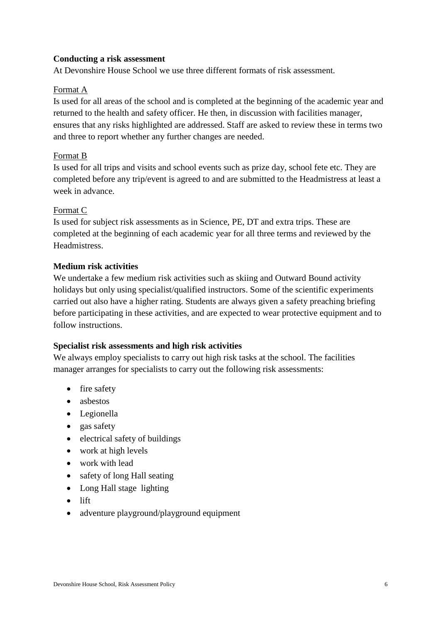### **Conducting a risk assessment**

At Devonshire House School we use three different formats of risk assessment.

### Format A

Is used for all areas of the school and is completed at the beginning of the academic year and returned to the health and safety officer. He then, in discussion with facilities manager, ensures that any risks highlighted are addressed. Staff are asked to review these in terms two and three to report whether any further changes are needed.

### Format B

Is used for all trips and visits and school events such as prize day, school fete etc. They are completed before any trip/event is agreed to and are submitted to the Headmistress at least a week in advance.

### Format C

Is used for subject risk assessments as in Science, PE, DT and extra trips. These are completed at the beginning of each academic year for all three terms and reviewed by the Headmistress.

### **Medium risk activities**

We undertake a few medium risk activities such as skiing and Outward Bound activity holidays but only using specialist/qualified instructors. Some of the scientific experiments carried out also have a higher rating. Students are always given a safety preaching briefing before participating in these activities, and are expected to wear protective equipment and to follow instructions.

# **Specialist risk assessments and high risk activities**

We always employ specialists to carry out high risk tasks at the school. The facilities manager arranges for specialists to carry out the following risk assessments:

- fire safety
- asbestos
- Legionella
- gas safety
- electrical safety of buildings
- work at high levels
- work with lead
- safety of long Hall seating
- Long Hall stage lighting
- $\bullet$  lift
- adventure playground/playground equipment